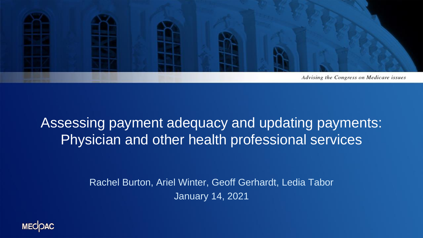

### Assessing payment adequacy and updating payments: Physician and other health professional services

Rachel Burton, Ariel Winter, Geoff Gerhardt, Ledia Tabor January 14, 2021

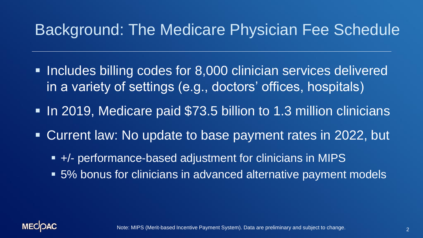### Background: The Medicare Physician Fee Schedule

- Includes billing codes for 8,000 clinician services delivered in a variety of settings (e.g., doctors' offices, hospitals)
- In 2019, Medicare paid \$73.5 billion to 1.3 million clinicians
- Current law: No update to base payment rates in 2022, but
	- +/- performance-based adjustment for clinicians in MIPS
	- 5% bonus for clinicians in advanced alternative payment models

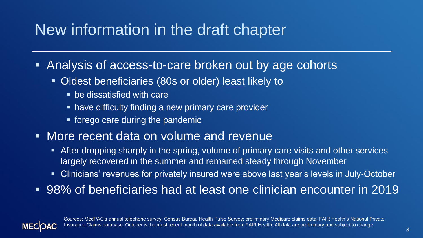# New information in the draft chapter

- Analysis of access-to-care broken out by age cohorts
	- Oldest beneficiaries (80s or older) <u>least</u> likely to
		- be dissatisfied with care
		- have difficulty finding a new primary care provider
		- forego care during the pandemic
- **More recent data on volume and revenue** 
	- **EXT** After dropping sharply in the spring, volume of primary care visits and other services largely recovered in the summer and remained steady through November
	- **EXTED THE Clinicians' revenues for privately insured were above last year's levels in July-October**
- 98% of beneficiaries had at least one clinician encounter in 2019



Sources: MedPAC's annual telephone survey; Census Bureau Health Pulse Survey; preliminary Medicare claims data; FAIR Health's National Private Insurance Claims database. October is the most recent month of data available from FAIR Health. All data are preliminary and subject to change.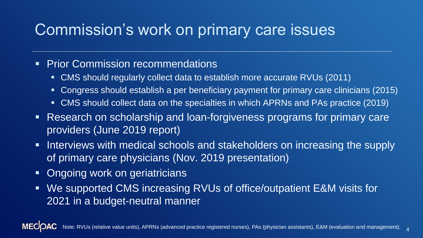### Commission's work on primary care issues

### **• Prior Commission recommendations**

- CMS should regularly collect data to establish more accurate RVUs (2011)
- Congress should establish a per beneficiary payment for primary care clinicians (2015)
- CMS should collect data on the specialties in which APRNs and PAs practice (2019)
- Research on scholarship and loan-forgiveness programs for primary care providers (June 2019 report)
- **EXTERN INTERNAL Interviews with medical schools and stakeholders on increasing the supply** of primary care physicians (Nov. 2019 presentation)
- **Ongoing work on geriatricians**
- We supported CMS increasing RVUs of office/outpatient E&M visits for 2021 in a budget-neutral manner

4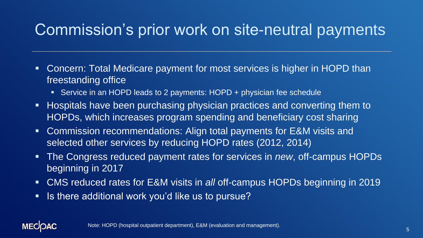### Commission's prior work on site-neutral payments

- Concern: Total Medicare payment for most services is higher in HOPD than freestanding office
	- Service in an HOPD leads to 2 payments: HOPD + physician fee schedule
- Hospitals have been purchasing physician practices and converting them to HOPDs, which increases program spending and beneficiary cost sharing
- Commission recommendations: Align total payments for E&M visits and selected other services by reducing HOPD rates (2012, 2014)
- The Congress reduced payment rates for services in *new*, off-campus HOPDs beginning in 2017
- CMS reduced rates for E&M visits in *all* off-campus HOPDs beginning in 2019
- **E** Is there additional work you'd like us to pursue?